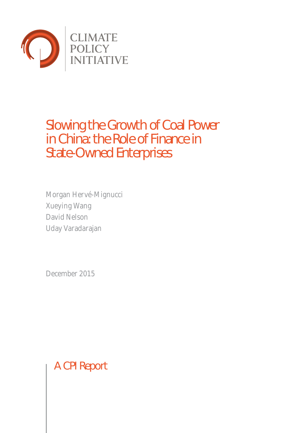

# Slowing the Growth of Coal Power in China: the Role of Finance in State-Owned Enterprises

Morgan Hervé-Mignucci Xueying Wang David Nelson Uday Varadarajan

December 2015

A CPI Report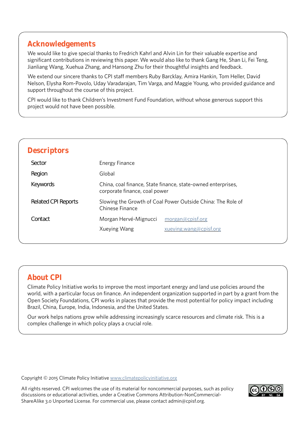# **Acknowledgements**

We would like to give special thanks to Fredrich Kahrl and Alvin Lin for their valuable expertise and significant contributions in reviewing this paper. We would also like to thank Gang He, Shan Li, Fei Teng, Jianliang Wang, Xuehua Zhang, and Hansong Zhu for their thoughtful insights and feedback.

We extend our sincere thanks to CPI staff members Ruby Barcklay, Amira Hankin, Tom Heller, David Nelson, Elysha Rom-Povolo, Uday Varadarajan, Tim Varga, and Maggie Young, who provided guidance and support throughout the course of this project.

CPI would like to thank Children's Investment Fund Foundation, without whose generous support this project would not have been possible.

| <b>Descriptors</b>         |                                                                                               |                        |  |  |
|----------------------------|-----------------------------------------------------------------------------------------------|------------------------|--|--|
| Sector                     | Energy Finance                                                                                |                        |  |  |
| Region                     | Global                                                                                        |                        |  |  |
| Keywords                   | China, coal finance, State finance, state-owned enterprises,<br>corporate finance, coal power |                        |  |  |
| <b>Related CPI Reports</b> | Slowing the Growth of Coal Power Outside China: The Role of<br>Chinese Finance                |                        |  |  |
| Contact                    | Morgan Hervé-Mignucci                                                                         | morgan@cpisf.org       |  |  |
|                            | Xueying Wang                                                                                  | xueying.wang@cpisf.org |  |  |
|                            |                                                                                               |                        |  |  |

# **About CPI**

Climate Policy Initiative works to improve the most important energy and land use policies around the world, with a particular focus on finance. An independent organization supported in part by a grant from the Open Society Foundations, CPI works in places that provide the most potential for policy impact including Brazil, China, Europe, India, Indonesia, and the United States.

Our work helps nations grow while addressing increasingly scarce resources and climate risk. This is a complex challenge in which policy plays a crucial role.

Copyright © 2015 Climate Policy Initiative www.climatepolicyinitiative.org

All rights reserved. CPI welcomes the use of its material for noncommercial purposes, such as policy discussions or educational activities, under a Creative Commons Attribution-NonCommercial-ShareAlike 3.0 Unported License. For com[mercial use, please contact admi](http://www.climatepolicyinitiative.org )n@cpisf.org.

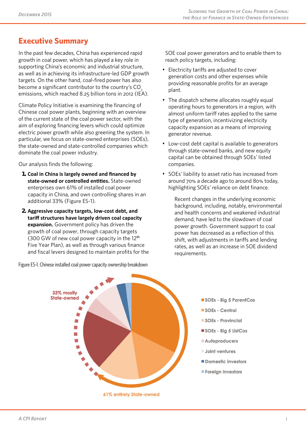# **Executive Summary**

In the past few decades, China has experienced rapid growth in coal power, which has played a key role in supporting China's economic and industrial structure, as well as in achieving its infrastructure-led GDP growth targets. On the other hand, coal-fired power has also become a significant contributor to the country's CO<sub>2</sub> emissions, which reached 8.25 billion tons in 2012 (IEA).

Climate Policy Initiative is examining the financing of Chinese coal power plants, beginning with an overview of the current state of the coal power sector, with the aim of exploring financing levers which could optimize electric power growth while also greening the system. In particular, we focus on state-owned enterprises (SOEs), the state-owned and state-controlled companies which dominate the coal power industry.

Our analysis finds the following:

- **1. Coal in China is largely owned and financed by state-owned or controlled entities.** State-owned enterprises own 61% of installed coal power capacity in China, and own controlling shares in an additional 33% (Figure ES-1).
- **2. Aggressive capacity targets, low-cost debt, and tariff structures have largely driven coal capacity expansion.** Government policy has driven the growth of coal power, through capacity targets (300 GW of new coal power capacity in the  $12<sup>th</sup>$ Five Year Plan), as well as through various finance and fiscal levers designed to maintain profits for the

Figure ES-1. Chinese installed coal power capacity ownership breakdown

SOE coal power generators and to enable them to reach policy targets, including:

- Electricity tariffs are adjusted to cover generation costs and other expenses while providing reasonable profits for an average plant.
- The dispatch scheme allocates roughly equal operating hours to generators in a region, with almost uniform tariff rates applied to the same type of generation, incentivizing electricity capacity expansion as a means of improving generator revenue.
- Low-cost debt capital is available to generators through state-owned banks, and new equity capital can be obtained through SOEs' listed companies.
- SOEs' liability to asset ratio has increased from around 70% a decade ago to around 80% today, highlighting SOEs' reliance on debt finance.

Recent changes in the underlying economic background, including, notably, environmental and health concerns and weakened industrial demand, have led to the slowdown of coal power growth. Government support to coal power has decreased as a reflection of this shift, with adjustments in tariffs and lending rates, as well as an increase in SOE dividend requirements.



61% entirely State-owned

- SOEs Big 5 ParentCos
- SOEs Central
- SOEs Provincial
- SOEs Bia 5 ListCos
- Autoproducers
- Joint ventures
- Domestic investors
- Foreign investors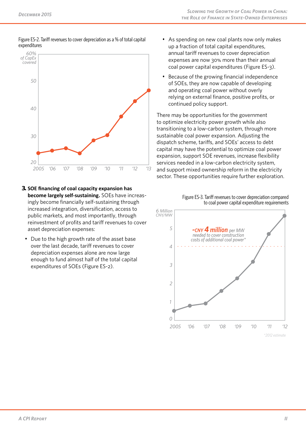



- **3. SOE financing of coal capacity expansion has become largely self-sustaining.** SOEs have increasingly become financially self-sustaining through increased integration, diversification, access to public markets, and most importantly, through reinvestment of profits and tariff revenues to cover asset depreciation expenses:
- Due to the high growth rate of the asset base over the last decade, tariff revenues to cover depreciation expenses alone are now large enough to fund almost half of the total capital expenditures of SOEs (Figure ES-2).
- As spending on new coal plants now only makes expenditures **Parameters Parameters Parent Constructed Expenditures**, **Parameters Parameters Parameters Parameters Parameters Parameters Parameters Parameters Parameters Parameters Parameters Para** annual tariff revenues to cover depreciation expenses are now 30% more than their annual coal power capital expenditures (Figure ES-3).
	- Because of the growing financial independence of SOEs, they are now capable of developing and operating coal power without overly relying on external finance, positive profits, or continued policy support.

There may be opportunities for the government to optimize electricity power growth while also transitioning to a low-carbon system, through more sustainable coal power expansion. Adjusting the *30* dispatch scheme, tariffs, and SOEs' access to debt capital may have the potential to optimize coal power expansion, support SOE revenues, increase flexibility services needed in a low-carbon electricity system, *20* 2005 '06 '07 '08 '09 '10 '11 '12 '13 and support mixed ownership reform in the electricity sector. These opportunities require further exploration.



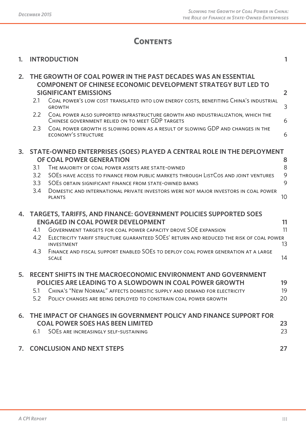# **Contents**

|  | 1. INTRODUCTION |  |  |
|--|-----------------|--|--|
|--|-----------------|--|--|

| 2. | THE GROWTH OF COAL POWER IN THE PAST DECADES WAS AN ESSENTIAL<br><b>COMPONENT OF CHINESE ECONOMIC DEVELOPMENT STRATEGY BUT LED TO</b><br><b>SIGNIFICANT EMISSIONS</b> |                                                                                                                                      | $\overline{2}$ |
|----|-----------------------------------------------------------------------------------------------------------------------------------------------------------------------|--------------------------------------------------------------------------------------------------------------------------------------|----------------|
|    | 2.1                                                                                                                                                                   | COAL POWER'S LOW COST TRANSLATED INTO LOW ENERGY COSTS, BENEFITING CHINA'S INDUSTRIAL<br><b>GROWTH</b>                               | 3              |
|    | 2.2                                                                                                                                                                   | COAL POWER ALSO SUPPORTED INFRASTRUCTURE GROWTH AND INDUSTRIALIZATION, WHICH THE<br>CHINESE GOVERNMENT RELIED ON TO MEET GDP TARGETS | 6              |
|    | 2.3                                                                                                                                                                   | COAL POWER GROWTH IS SLOWING DOWN AS A RESULT OF SLOWING GDP AND CHANGES IN THE<br><b>ECONOMY'S STRUCTURE</b>                        | 6              |
| 3. |                                                                                                                                                                       | STATE-OWNED ENTERPRISES (SOES) PLAYED A CENTRAL ROLE IN THE DEPLOYMENT                                                               |                |
|    |                                                                                                                                                                       | OF COAL POWER GENERATION                                                                                                             | 8              |
|    | 3.1                                                                                                                                                                   | THE MAJORITY OF COAL POWER ASSETS ARE STATE-OWNED                                                                                    | 8              |
|    | 3.2                                                                                                                                                                   | SOES HAVE ACCESS TO FINANCE FROM PUBLIC MARKETS THROUGH LISTCOS AND JOINT VENTURES                                                   | 9              |
|    | 3.3                                                                                                                                                                   | SOES OBTAIN SIGNIFICANT FINANCE FROM STATE-OWNED BANKS                                                                               | 9              |
|    | 3.4                                                                                                                                                                   | DOMESTIC AND INTERNATIONAL PRIVATE INVESTORS WERE NOT MAJOR INVESTORS IN COAL POWER<br><b>PLANTS</b>                                 | 10             |
|    |                                                                                                                                                                       | 4. TARGETS, TARIFFS, AND FINANCE: GOVERNMENT POLICIES SUPPORTED SOES                                                                 |                |
|    |                                                                                                                                                                       | <b>ENGAGED IN COAL POWER DEVELOPMENT</b>                                                                                             | 11             |
|    | 4.1                                                                                                                                                                   | GOVERNMENT TARGETS FOR COAL POWER CAPACITY DROVE SOE EXPANSION                                                                       | 11             |
|    | 4.2                                                                                                                                                                   | ELECTRICITY TARIFF STRUCTURE GUARANTEED SOES' RETURN AND REDUCED THE RISK OF COAL POWER<br><b>INVESTMENT</b>                         | 13             |
|    | 4.3                                                                                                                                                                   | FINANCE AND FISCAL SUPPORT ENABLED SOES TO DEPLOY COAL POWER GENERATION AT A LARGE<br><b>SCALE</b>                                   | 14             |
| 5. |                                                                                                                                                                       | RECENT SHIFTS IN THE MACROECONOMIC ENVIRONMENT AND GOVERNMENT                                                                        |                |
|    |                                                                                                                                                                       | <b>POLICIES ARE LEADING TO A SLOWDOWN IN COAL POWER GROWTH</b>                                                                       | 19             |
|    | 5.1                                                                                                                                                                   | CHINA'S "NEW NORMAL" AFFECTS DOMESTIC SUPPLY AND DEMAND FOR ELECTRICITY                                                              | 19             |
|    | 5.2                                                                                                                                                                   | POLICY CHANGES ARE BEING DEPLOYED TO CONSTRAIN COAL POWER GROWTH                                                                     | 20             |
|    |                                                                                                                                                                       | 6. THE IMPACT OF CHANGES IN GOVERNMENT POLICY AND FINANCE SUPPORT FOR                                                                |                |
|    |                                                                                                                                                                       | <b>COAL POWER SOES HAS BEEN LIMITED</b>                                                                                              | 23             |
|    | 6.1                                                                                                                                                                   | SOES ARE INCREASINGLY SELF-SUSTAINING                                                                                                | 23             |
|    |                                                                                                                                                                       | 7. CONCLUSION AND NEXT STEPS                                                                                                         | 27             |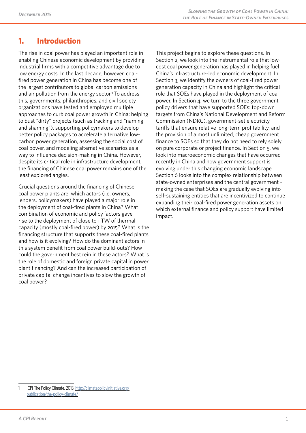# **1. Introduction**

The rise in coal power has played an important role in enabling Chinese economic development by providing industrial firms with a competitive advantage due to low energy costs. In the last decade, however, coalfired power generation in China has become one of the largest contributors to global carbon emissions and air pollution from the energy sector.<sup>1</sup> To address this, governments, philanthropies, and civil society organizations have tested and employed multiple approaches to curb coal power growth in China: helping to bust "dirty" projects (such as tracking and "naming and shaming"), supporting policymakers to develop better policy packages to accelerate alternative lowcarbon power generation, assessing the social cost of coal power, and modeling alternative scenarios as a way to influence decision-making in China. However, despite its critical role in infrastructure development, the financing of Chinese coal power remains one of the least explored angles.

Crucial questions around the financing of Chinese coal power plants are: which actors (i.e. owners, lenders, policymakers) have played a major role in the deployment of coal-fired plants in China? What combination of economic and policy factors gave rise to the deployment of close to 1 TW of thermal capacity (mostly coal-fired power) by 2015? What is the financing structure that supports these coal-fired plants and how is it evolving? How do the dominant actors in this system benefit from coal power build-outs? How could the government best rein in these actors? What is the role of domestic and foreign private capital in power plant financing? And can the increased participation of private capital change incentives to slow the growth of coal power?

This project begins to explore these questions. In Section 2, we look into the instrumental role that lowcost coal power generation has played in helping fuel China's infrastructure-led economic development. In Section 3, we identify the owners of coal-fired power generation capacity in China and highlight the critical role that SOEs have played in the deployment of coal power. In Section 4, we turn to the three government policy drivers that have supported SOEs: top-down targets from China's National Development and Reform Commission (NDRC), government-set electricity tariffs that ensure relative long-term profitability, and the provision of almost unlimited, cheap government finance to SOEs so that they do not need to rely solely on pure corporate or project finance. In Section 5, we look into macroeconomic changes that have occurred recently in China and how government support is evolving under this changing economic landscape. Section 6 looks into the complex relationship between state-owned enterprises and the central government – making the case that SOEs are gradually evolving into self-sustaining entities that are incentivized to continue expanding their coal-fired power generation assets on which external finance and policy support have limited impact.

<sup>1</sup> CPI The Policy Climate, 2013, http://climatepolicyinitiative.org/ publication/the-policy-climate/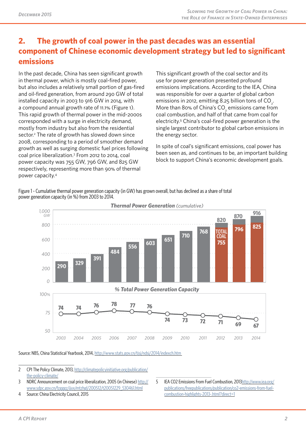# **2. The growth of coal power in the past decades was an essential component of Chinese economic development strategy but led to significant emissions**

In the past decade, China has seen significant growth in thermal power, which is mostly coal-fired power, but also includes a relatively small portion of gas-fired and oil-fired generation, from around 290 GW of total installed capacity in 2003 to 916 GW in 2014, with a compound annual growth rate of 11.1% (Figure 1). This rapid growth of thermal power in the mid-2000s corresponded with a surge in electricity demand, mostly from industry but also from the residential sector.<sup>2</sup> The rate of growth has slowed down since 2008, corresponding to a period of smoother demand growth as well as surging domestic fuel prices following coal price liberalization.3 From 2012 to 2014, coal power capacity was 755 GW, 796 GW, and 825 GW respectively, representing more than 90% of thermal power capacity.4

This significant growth of the coal sector and its use for power generation presented profound emissions implications. According to the IEA, China was responsible for over a quarter of global carbon emissions in 2012, emitting 8.25 billion tons of CO<sub>2</sub>. More than 80% of China's CO<sub>2</sub> emissions came from coal combustion, and half of that came from coal for electricity.<sup>5</sup> China's coal-fired power generation is the single largest contributor to global carbon emissions in the energy sector.

In spite of coal's significant emissions, coal power has been seen as, and continues to be, an important building block to support China's economic development goals.

Figure 1 - Cumulative thermal power generation capacity (in GW) has grown overall, but has declined as a share of total power generation capacity (in %) from 2003 to 2014.



*Thermal Power Generation (cumulative)*

Source: NBS, China Statistical Yearbook, 2014, http://www.stats.gov.cn/tjsj/ndsj/2014/indexch.htm

2 CPI The Policy Climate, 2013, http://climatepolicyinitiative.org/publication/ the-policy-climate/

3 NDRC Announcement on coal price libera[lization, 2005 \(in Chinese\) http://](http://www.stats.gov.cn/tjsj/ndsj/2014/indexch.htm) www.sdpc.gov.cn/fzgggz/jjyx/mtzhgl/200512/t20051229\_530461.html

4 Source: China Electricity Cou[ncil, 2015](http://climatepolicyinitiative.org/publication/the-policy-climate/) 

5 IEA CO2 Emissions From Fuel Combustion, 2013http://www.iea.org/ publications/freepublications/publication/co2-emissions-from-fuelcombustion-highlights-2013-.html?direct=1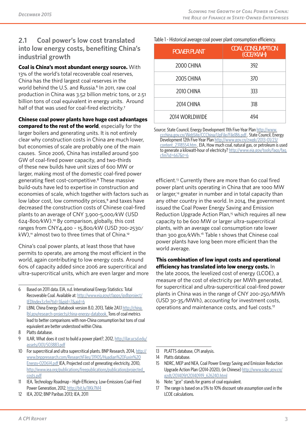# **2.1 Coal power's low cost translated into low energy costs, benefiting China's industrial growth**

**Coal is China's most abundant energy source.** With 13% of the world's total recoverable coal reserves, China has the third largest coal reserves in the world behind the U.S. and Russia.<sup>6</sup> In 2011, raw coal production in China was 3.52 billion metric tons, or 2.51 billion tons of coal equivalent in energy units. Around half of that was used for coal-fired electricity.<sup>7</sup>

**Chinese coal power plants have huge cost advantages compared to the rest of the world**, especially for the larger boilers and generating units. It is not entirely clear why construction costs in China are much lower, but economies of scale are probably one of the main causes. Since 2006, China has installed around 500 GW of coal-fired power capacity, and two-thirds of these new builds have unit sizes of 600 MW or larger, making most of the domestic coal-fired power generating fleet cost-competitive.<sup>8</sup> These massive build-outs have led to expertise in construction and economies of scale, which together with factors such as low labor cost, low commodity prices,<sup>9</sup> and taxes have decreased the construction costs of Chinese coal-fired plants to an average of CNY 3,900-5,000/kW (USD 624-800/kW).10 By comparison, globally, this cost ranges from CNY4,400 – 15,800/kW (USD 700-2530/  $kW$ ),<sup>11</sup> almost two to three times that of China.<sup>12</sup>

China's coal power plants, at least those that have permits to operate, are among the most efficient in the world, again contributing to low energy costs. Around 60% of capacity added since 2006 are supercritical and ultra-supercritical units, which are even larger and more

- 7 LBNL China Energy Databook version 8.0, 2013, Table 2A1.1 http://china. lbl.gov/research-projects/china-energy-databook. Tons of coal metrics lead to better comparisons wit[h non-China consumption but tons of coa](http://www.eia.gov/cfapps/ipdbproject/IEDIndex3.cfm?tid=1&pid=7&aid=6)l [equivalent are better understood wi](http://www.eia.gov/cfapps/ipdbproject/IEDIndex3.cfm?tid=1&pid=7&aid=6)thin China.
- 8 Platts database.
- 9 [ILAR, What does it cost to build a power plant?, 2](http://china.lbl.gov/research-projects/china-energy-databook)012, http:[//ilar.ucsd.ed](http://china.lbl.gov/research-projects/china-energy-databook)u/ assets/001/503883.pdf
- 10 For supercritical and ultra supercritical plants. BNP Research, 2014, http:// www.bnppresearch.com/ResearchFiles/31905/Huadian%20Fuxin%20 Energy-020614.pdf IEA, Projected cost of generating [electricity, 2010,](http://ilar.ucsd.edu/assets/001/503883.pdf)  [http://www.iea.org/publ](http://ilar.ucsd.edu/assets/001/503883.pdf)ications/freepublications/publication/projected\_ costs.pdf
- 11 [IEA, Technology Roadmap High-Efficiency, Low-Emissions Coal-Fired](http://www.bnppresearch.com/ResearchFiles/31905/Huadian%20Fuxin%20Energy-020614.pdf)  [Power Generation, 2](http://www.bnppresearch.com/ResearchFiles/31905/Huadian%20Fuxin%20Energy-020614.pdf)012, http://bit.ly/1IKk7M4
- 12 [IEA, 2012; BNP Paribas 2013; IEA, 2011](http://www.iea.org/publications/freepublications/publication/projected_costs.pdf)

Table 1 - Historical average coal power plant consumption efficiency.

| <b>POWER PLANT</b> | <b>COAL CONSUMPTION</b><br>(GCE/KWH) |  |
|--------------------|--------------------------------------|--|
| 2000 CHINA         | 392                                  |  |
| <b>2005 CHINA</b>  | 370                                  |  |
| 2010 CHINA         | 333                                  |  |
| 2014 CHINA         | 318                                  |  |
| 2014 WORLDWIDE     |                                      |  |

Source: State Council, Energy Development 11th Five-Year Plan http://www. ccchina.gov.cn/WebSite/CCChina/UpFile/File186.pdf. State Council, Energy Development 12th Five-Year Plan http://www.gov.cn/zwgk/2013-01/23/ content\_2318554.htm . EIA, How much coal, natural gas, or petroleum is used to generate a kilowatt-hour of electricity? http://www.eia.[gov/tools/faq](http://www.ccchina.gov.cn/WebSite/CCChina/UpFile/File186.pdf)s/faq. [cfm?id=667&t=6](http://www.ccchina.gov.cn/WebSite/CCChina/UpFile/File186.pdf)

e[fficient.13 Cur](http://www.eia.gov/tools/faqs/faq.cfm?id=667&t=6)rently there are [more than 60 coal fired](http://www.eia.gov/tools/faqs/faq.cfm?id=667&t=6)  power plant units operating in China that are 1000 MW or larger,<sup>14</sup> greater in number and in total capacity than any other country in the world. In 2014, the government issued the Coal Power Energy Saving and Emission Reduction Upgrade Action Plan,<sup>15</sup> which requires all new capacity to be 600 MW or larger ultra-supercritical plants, with an average coal consumption rate lower than 300 gce/kWh.<sup>16</sup> Table 1 shows that Chinese coal power plants have long been more efficient than the world average.

### **This combination of low input costs and operational efficiency has translated into low energy costs.** In

the late 2000s, the levelized cost of energy (LCOE), a measure of the cost of electricity per MWh generated, for supercritical and ultra-supercritical coal-fired power plants in China was in the range of CNY 200-250/MWh (USD 30-35/MWh), accounting for investment costs, operations and maintenance costs, and fuel costs.<sup>17</sup>

13 PLATTS database, CPI analysis.

16 Note: "gce" stands for grams of coal equivalent.

<sup>6</sup> Based on 2011 data. EIA, n.d. International Energy Statistics: Total Recoverable Coal. Available at: http://www.eia.gov/cfapps/ipdbproject/ IEDIndex3.cfm?tid=1&pid=7&aid=6

<sup>14</sup> Platts database.

<sup>15</sup> NDRC, MEP and NEA, Coal Power Energy Saving and Emission Reduction Upgrade Action Plan (2014-2020), (in Chinese) http://www.sdpc.gov.cn/ gzdt/201409/t20140919\_626240.html

<sup>17</sup> The range is based on a 5% to 10% discount rate assumption used in the LCOE calculations.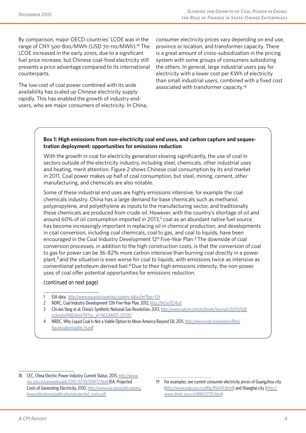By comparison, major OECD countries' LCOE was in the range of CNY 500-800/MWh (USD 70-110/MWh).18 The LCOE increased in the early 2010s, due to a significant fuel price increase, but Chinese coal-fired electricity still presents a price advantage compared to its international counterparts.

The low cost of coal power combined with its wide availability has scaled up Chinese electricity supply rapidly. This has enabled the growth of industry endusers, who are major consumers of electricity. In China, consumer electricity prices vary depending on end use, province or location, and transformer capacity. There is a great amount of cross-subsidization in the pricing system with some groups of consumers subsidizing the others. In general, large industrial users pay for electricity with a lower cost per KWh of electricity than small industrial users, combined with a fixed cost associated with transformer capacity.<sup>19</sup>

#### **Box 1: High emissions from non-electricity coal end uses, and carbon capture and sequestration deployment: opportunities for emissions reduction**

With the growth in coal for electricity generation slowing significantly, the use of coal in sectors outside of the electricity industry, including steel, chemicals, other industrial uses and heating, merit attention. Figure 2 shows Chinese coal consumption by its end market in 2011. Coal power makes up half of coal consumption, but steel, mining, cement, other manufacturing, and chemicals are also notable.

Some of these industrial end uses are highly emissions intensive, for example the coal chemicals industry. China has a large demand for base chemicals such as methanol, polypropylene, and polyethylene as inputs to the manufacturing sector, and traditionally these chemicals are produced from crude oil. However, with the country's shortage of oil and around 60% of oil consumption imported in 2013, $1$  coal as an abundant native fuel source has become increasingly important in replacing oil in chemical production, and developments in coal conversion, including coal chemicals, coal to gas, and coal to liquids, have been encouraged in the Coal Industry Development 12<sup>th</sup> Five-Year Plan.<sup>2</sup> The downside of coal conversion processes, in addition to the high construction costs, is that the conversion of coal to gas for power can be 36-82% more carbon intensive than burning coal directly in a power plant,<sup>3</sup> and the situation is even worse for coal to liquids, with emissions twice as intensive as conventional petroleum derived fuel.<sup>4</sup> Due to their high emissions intensity, the non-power uses of coal offer potential opportunities for emissions reduction.

*(continued on next page)*

- 1 EIA data, http://www.eia.gov/countries/country-data.cfm?fips=CH
- 2 NDRC, Coal Industry Development 12th Five-Year Plan, 2012, http://bit.ly/1EJ4ssf
- 3 Chi-Jen Yang et al, China's Synthetic National Gas Revolution, 2013, http://www.nature.com/nclimate/journal/v3/n10/full/ nclimate1988.html?WT.ec\_id=NCLIMATE-201310
- 4 NRDC, W[hy Liquid Coal Is Not a Viable Option to Move America Be](http://www.eia.gov/countries/country-data.cfm?fips=CH)yond Oil, 2011, http://www.nrdc.org/energy/files/ liquidcoalnotviable\_fs.pdf

19 For examples, see current consumer electricity prices of Guangzhou city (http://www.gdpi.gov.cn/dfjg/85649.jhtml) and Shanghai city (http:// www.sheitc.gov.cn/dfjf/637315.htm)

<sup>18</sup> CEC, China Electric Power Industry Current Status, 2015, http://www. cec.org.cn/yaowenkuaidi/2015-03-10/134972.html IEA, Projected Costs of Generating Electricity, 2010, http://www.iea.org/publications/ freepublications/publication/projected\_costs.pdf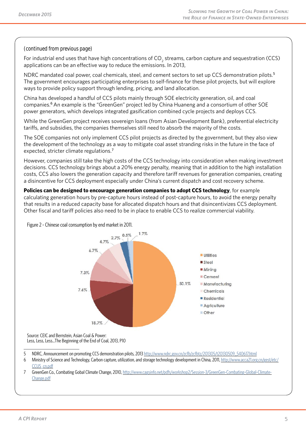#### *(continued from previous page)*

For industrial end uses that have high concentrations of CO<sub>2</sub> streams, carbon capture and sequestration (CCS) applications can be an effective way to reduce the emissions. In 2013,

NDRC mandated coal power, coal chemicals, steel, and cement sectors to set up CCS demonstration pilots.<sup>5</sup> The government encourages participating enterprises to self-finance for these pilot projects, but will explore ways to provide policy support through lending, pricing, and land allocation.

China has developed a handful of CCS pilots mainly through SOE electricity generation, oil, and coal companies.<sup>6</sup> An example is the "GreenGen" project led by China Huaneng and a consortium of other SOE power generators, which develops integrated gasification combined cycle projects and deploys CCS.

While the GreenGen project receives sovereign loans (from Asian Development Bank), preferential electricity tariffs, and subsidies, the companies themselves still need to absorb the majority of the costs.

The SOE companies not only implement CCS pilot projects as directed by the government, but they also view the development of the technology as a way to mitigate coal asset stranding risks in the future in the face of expected, stricter climate regulations.<sup>7</sup>

However, companies still take the high costs of the CCS technology into consideration when making investment decisions. CCS technology brings about a 20% energy penalty, meaning that in addition to the high installation costs, CCS also lowers the generation capacity and therefore tariff revenues for generation companies, creating a disincentive for CCS deployment especially under China's current dispatch and cost recovery scheme.

**Policies can be designed to encourage generation companies to adopt CCS technology**, for example calculating generation hours by pre-capture hours instead of post-capture hours, to avoid the energy penalty that results in a reduced capacity base for allocated dispatch hours and that disincentivizes CCS deployment. Other fiscal and tariff policies also need to be in place to enable CCS to realize commercial viability.

Figure 2 - Chinese coal consumption by end market in 2011.



Source: CEIC and Bernstein, Asian Coal & Power: Less, Less, Less…The Beginning of the End of Coal, 2013, P10

- 5 NDRC, Announcement on promoting CCS demonstration pilots, 2013 http://www.ndrc.gov.cn/zcfb/zcfbtz/201305/t20130509\_540617.html
- 6 Ministry of Science and Technology, Carbon capture, utilization, and storage technology development in China, 2011, http://www.acca21.org.cn/gest/etc/ CCUS\_cn.pdf
- 7 GreenGen Co., Combating Gobal Climate Change, 2010, http://www.cagsinfo.net/pdfs/workshop2/Session-3/GreenGen-Combating-Global-Climate-Change.pdf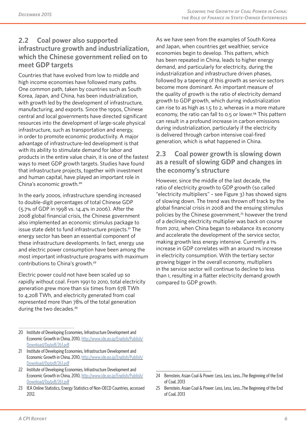### **2.2 Coal power also supported infrastructure growth and industrialization, which the Chinese government relied on to meet GDP targets**

Countries that have evolved from low to middle and high income economies have followed many paths. One common path, taken by countries such as South Korea, Japan, and China, has been industrialization, with growth led by the development of infrastructure, manufacturing, and exports. Since the 1990s, Chinese central and local governments have directed significant resources into the development of large-scale physical infrastructure, such as transportation and energy, in order to promote economic productivity. A major advantage of infrastructure-led development is that with its ability to stimulate demand for labor and products in the entire value chain, it is one of the fastest ways to meet GDP growth targets. Studies have found that infrastructure projects, together with investment and human capital, have played an important role in China's economic growth.<sup>20</sup>

In the early 2000s, infrastructure spending increased to double-digit percentages of total Chinese GDP (5.7% of GDP in 1998 vs. 14.4% in 2006). After the 2008 global financial crisis, the Chinese government also implemented an economic stimulus package to issue state debt to fund infrastructure projects.<sup>21</sup> The energy sector has been an essential component of these infrastructure developments. In fact, energy use and electric power consumption have been among the most important infrastructure programs with maximum contributions to China's growth.<sup>22</sup>

Electric power could not have been scaled up so rapidly without coal. From 1991 to 2010, total electricity generation grew more than six times from 678 TWh to 4,208 TWh, and electricity generated from coal represented more than 78% of the total generation during the two decades.<sup>23</sup>

- 20 Institute of Developing Economies, Infrastructure Development and Economic Growth in China, 2010, http://www.ide.go.jp/English/Publish/ Download/Dp/pdf/261.pdf
- 21 Institute of Developing Economies, Infrastructure Development and Economic Growth in China, 2010, http://www.ide.go.jp/English/Publish/ Download/Dp/pdf/261.pdf
- 22 [Institute of Developing Eco](http://www.ide.go.jp/English/Publish/Download/Dp/pdf/261.pdf)nomies, Infrastructure Development and Economic Growth in China, 2010, http://www.ide.go.jp/English/Publish/ Download/Dp/pdf/261.pdf
- 23 [IEA Online Statistics, Energ](http://www.ide.go.jp/English/Publish/Download/Dp/pdf/261.pdf)y Stati[stics of Non-OECD Countries, accessed](http://www.ide.go.jp/English/Publish/Download/Dp/pdf/261.pdf) 2012.

As we have seen from the examples of South Korea and Japan, when countries get wealthier, service economies begin to develop. This pattern, which has been repeated in China, leads to higher energy demand, and particularly for electricity, during the industrialization and infrastructure driven phases, followed by a tapering of this growth as service sectors become more dominant. An important measure of the quality of growth is the ratio of electricity demand growth to GDP growth, which during industrialization can rise to as high as 1.5 to 2, whereas in a more mature economy, the ratio can fall to 0.5 or lower.<sup>24</sup> This pattern can result in a profound increase in carbon emissions during industrialization, particularly if the electricity is delivered through carbon intensive coal-fired generation, which is what happened in China.

### **2.3 Coal power growth is slowing down as a result of slowing GDP and changes in the economy's structure**

However, since the middle of the last decade, the ratio of electricity growth to GDP growth (so called "electricity multipliers" – see Figure 3) has showed signs of slowing down. The trend was thrown off track by the global financial crisis in 2008 and the ensuing stimulus policies by the Chinese government,<sup>25</sup> however the trend of a declining electricity multiplier was back on course from 2012, when China began to rebalance its economy and accelerate the development of the service sector, making growth less energy intensive. Currently a 1% increase in GDP correlates with an around 1% increase in electricity consumption. With the tertiary sector growing bigger in the overall economy, multipliers in the service sector will continue to decline to less than 1, resulting in a flatter electricity demand growth compared to GDP growth.

<sup>24</sup> Bernstein, Asian Coal & Power: Less, Less, Less…The Beginning of the End of Coal, 2013

<sup>25</sup> Bernstein, Asian Coal & Power: Less, Less, Less…The Beginning of the End of Coal, 2013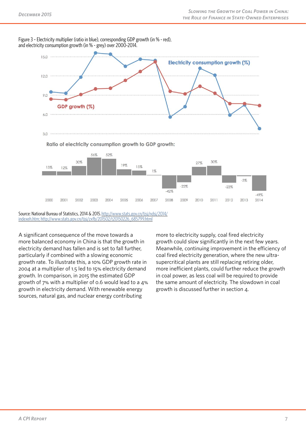

Figure 3 – Electricity multiplier (ratio in blue), corresponding GDP growth (in % - red), and electricity consumption growth (in % - grey) over 2000-2014.

Source: National Bureau of Statistics, 2014 & 2015.http://www.stats.gov.cn/tjsj/ndsj/2014/ indexeh.htm; http://www.stats.gov.cn/tjsj/zxfb/201502/t20150226\_685799.html

A significant consequence of the move towards a [more bala](http://www.stats.gov.cn/tjsj/ndsj/2014/indexeh.htm)nced economy in China is [that the growth in](http://www.stats.gov.cn/tjsj/ndsj/2014/indexeh.htm)  electricity demand has fallen and is set to fall further, particularly if combined with a slowing economic growth rate. To illustrate this, a 10% GDP growth rate in 2004 at a multiplier of 1.5 led to 15% electricity demand growth. In comparison, in 2015 the estimated GDP growth of 7% with a multiplier of 0.6 would lead to a 4% growth in electricity demand. With renewable energy sources, natural gas, and nuclear energy contributing

more to electricity supply, coal fired electricity growth could slow significantly in the next few years. Meanwhile, continuing improvement in the efficiency of coal fired electricity generation, where the new ultrasupercritical plants are still replacing retiring older, more inefficient plants, could further reduce the growth in coal power, as less coal will be required to provide the same amount of electricity. The slowdown in coal growth is discussed further in section 4.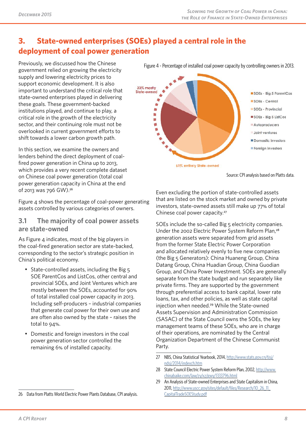# **3. State-owned enterprises (SOEs) played a central role in the deployment of coal power generation**

Previously, we discussed how the Chinese government relied on growing the electricity supply and lowering electricity prices to support economic development. It is also important to understand the critical role that state-owned enterprises played in delivering these goals. These government-backed institutions played, and continue to play, a critical role in the growth of the electricity sector, and their continuing role must not be overlooked in current government efforts to shift towards a lower carbon growth path.

In this section, we examine the owners and lenders behind the direct deployment of coalfired power generation in China up to 2013, which provides a very recent complete dataset on Chinese coal power generation (total coal power generation capacity in China at the end of 2013 was 796 GW).<sup>26</sup>

Figure 4 shows the percentage of coal-power generating assets controlled by various categories of owners.

### **3.1 The majority of coal power assets are state-owned**

As Figure 4 indicates, most of the big players in the coal-fired generation sector are state-backed, corresponding to the sector's strategic position in China's political economy.

- State-controlled assets, including the Big 5 SOE ParentCos and ListCos, other central and provincial SOEs, and Joint Ventures which are mostly between the SOEs, accounted for 90% of total installed coal power capacity in 2013. Including self-producers – industrial companies that generate coal power for their own use and are often also owned by the state – raises the total to 94%.
- Domestic and foreign investors in the coal power generation sector controlled the remaining 6% of installed capacity.

Figure 4 - Percentage of installed coal power capacity by controlling owners in 2013.



Source: CPI analysis based on Platts data.

Even excluding the portion of state-controlled assets that are listed on the stock market and owned by private investors, state-owned assets still make up 77% of total Chinese coal power capacity.<sup>27</sup>

SOEs include the so-called Big 5 electricity companies. Under the 2002 Electric Power System Reform Plan,<sup>28</sup> generation assets were separated from grid assets from the former State Electric Power Corporation and allocated relatively evenly to five new companies (the Big 5 Generators): China Huaneng Group, China Datang Group, China Huadian Group, China Guodian Group, and China Power Investment. SOEs are generally separate from the state budget and run separately like private firms. They are supported by the government through preferential access to bank capital, lower rate loans, tax, and other policies, as well as state capital injection when needed.<sup>29</sup> While the State-owned Assets Supervision and Administration Commission (SASAC) of the State Council owns the SOEs, the key management teams of these SOEs, who are in charge of their operations, are nominated by the Central Organization Department of the Chinese Communist Party.

- 27 NBS, China Statistical Yearbook, 2014, http://www.stats.gov.cn/tjsj/ ndsj/2014/indexch.htm
- 28 State Council Electric Power System Reform Plan, 2002, http://www. chinabaike.com/law/zy/xz/gwy/1333796.html
- 29 An Analysis of State-owned Enterpris[es and State Capitalism in Chin](http://www.stats.gov.cn/tjsj/ndsj/2014/indexch.htm)a, [2011, http://www.uscc.g](http://www.stats.gov.cn/tjsj/ndsj/2014/indexch.htm)ov/sites/default/files/Research/10\_26\_11\_ CapitalTradeSOEStudy.pdf

<sup>26</sup> Data from Platts World Electric Power Plants Database, CPI analysis.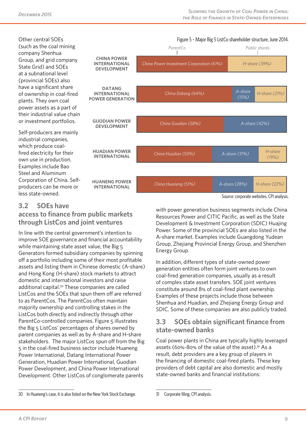Other central SOEs (such as the coal mining company Shenhua Group, and grid company State Grid) and SOEs at a subnational level (provincial SOEs) also have a significant share of ownership in coal-fired plants. They own coal power assets as a part of their industrial value chain or investment portfolios.

Self-producers are mainly industrial companies, which produce coalfired electricity for their own use in production. Examples include Bao Steel and Aluminum Corporation of China. Selfproducers can be more or less state-owned.



**<sup>3.2</sup> SOEs have** 

### **access to finance from public markets through ListCos and joint ventures**

In line with the central government's intention to improve SOE governance and financial accountability while maintaining state asset value, the Big 5 Generators formed subsidiary companies by spinning off a portfolio including some of their most profitable assets and listing them in Chinese domestic (A-share) and Hong Kong (H-share) stock markets to attract domestic and international investors and raise additional capital.30 These companies are called ListCos and the SOEs that spun them off are referred to as ParentCos. The ParentCos often maintain majority ownership and controlling stakes in the ListCos both directly and indirectly through other Parent Co-controlled companies. Figure 5 illustrates the Big 5 ListCos' percentages of shares owned by parent companies as well as by A-share and H-share stakeholders. The major ListCos spun off from the Big 5 in the coal-fired business sector include Huaneng Power International, Datang International Power Generation, Huadian Power International, Guodian Power Development, and China Power International Development. Other ListCos of conglomerate parents

with power generation business segments include China Resources Power and CITIC Pacific, as well as the State Development & Investment Corporation (SDIC) Huajing Power. Some of the provincial SOEs are also listed in the A-share market. Examples include Guangdong Yudean Group, Zhejiang Provincial Energy Group, and Shenzhen Energy Group.

In addition, different types of state-owned power generation entities often form joint ventures to own coal-fired generation companies, usually as a result of complex state asset transfers. SOE joint ventures constitute around 8% of coal-fired plant ownership. Examples of these projects include those between Shenhua and Huadian, and Zhejiang Energy Group and SDIC. Some of these companies are also publicly traded.

### **3.3 SOEs obtain significant finance from state-owned banks**

Coal power plants in China are typically highly leveraged assets (60%-80% of the value of the asset).31 As a result, debt providers are a key group of players in the financing of domestic coal-fired plants. These key providers of debt capital are also domestic and mostly state-owned banks and financial institutions:

Source: corporate websites, CPI analysis.

<sup>30</sup> In Huaneng's case, it is also listed on the New York Stock Exchange.

<sup>31</sup> Corporate filing, CPI analysis.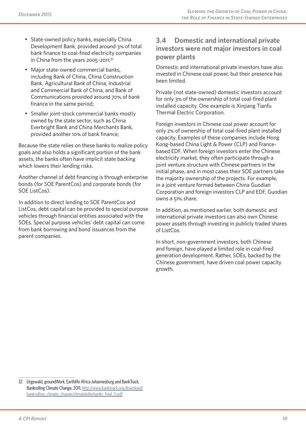- State-owned policy banks, especially China Development Bank, provided around 3% of total bank finance to coal-fired electricity companies in China from the years 2005-2011;<sup>32</sup>
- Major state-owned commercial banks, including Bank of China, China Construction Bank, Agricultural Bank of China, Industrial and Commercial Bank of China, and Bank of Communications provided around 70% of bank finance in the same period;
- Smaller joint-stock commercial banks mostly owned by the state sector, such as China Everbright Bank and China Merchants Bank, provided another 10% of bank finance;

Because the state relies on these banks to realize policy goals and also holds a significant portion of the bank assets, the banks often have implicit state backing which lowers their lending risks.

Another channel of debt financing is through enterprise bonds (for SOE ParentCos) and corporate bonds (for SOE ListCos).

In addition to direct lending to SOE ParentCos and ListCos, debt capital can be provided to special purpose vehicles through financial entities associated with the SOEs. Special purpose vehicles' debt capital can come from bank borrowing and bond issuances from the parent companies.

### **3.4 Domestic and international private investors were not major investors in coal power plants**

Domestic and international private investors have also invested in Chinese coal power, but their presence has been limited.

Private (not state-owned) domestic investors account for only 3% of the ownership of total coal-fired plant installed capacity. One example is Xinjiang Tianfu Thermal Electric Corporation.

Foreign investors in Chinese coal power account for only 2% of ownership of total coal-fired plant installed capacity. Examples of these companies include Hong Kong-based China Light & Power (CLP) and Francebased EDF. When foreign investors enter the Chinese electricity market, they often participate through a joint venture structure with Chinese partners in the initial phase, and in most cases their SOE partners take the majority ownership of the projects. For example, in a joint venture formed between China Guodian Corporation and foreign investors CLP and EDF, Guodian owns a 51% share.

In addition, as mentioned earlier, both domestic and international private investors can also own Chinese power assets through investing in publicly traded shares of ListCos.

In short, non-government investors, both Chinese and foreign, have played a limited role in coal-fired generation development. Rather, SOEs, backed by the Chinese government, have driven coal power capacity growth.

<sup>32</sup> Urgewald, groundWork, Earthlife Africa Johannesburg and BankTrack, Bankrolling Climate Change, 2011, http://www.banktrack.org/download/ bankrolling climate change/climatekillerbanks final 0.pdf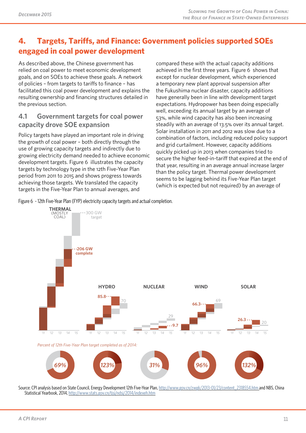# **4. Targets, Tariffs, and Finance: Government policies supported SOEs engaged in coal power development**

As described above, the Chinese government has relied on coal power to meet economic development goals, and on SOEs to achieve these goals. A network of policies – from targets to tariffs to finance – has facilitated this coal power development and explains the resulting ownership and financing structures detailed in the previous section.

### **4.1 Government targets for coal power capacity drove SOE expansion**

Policy targets have played an important role in driving the growth of coal power – both directly through the use of growing capacity targets and indirectly due to growing electricity demand needed to achieve economic development targets. Figure 6 illustrates the capacity targets by technology type in the 12th Five-Year Plan period from 2011 to 2015 and shows progress towards achieving those targets. We translated the capacity targets in the Five-Year Plan to annual averages, and

compared these with the actual capacity additions achieved in the first three years. Figure 6 shows that except for nuclear development, which experienced a temporary new plant approval suspension after the Fukushima nuclear disaster, capacity additions have generally been in line with development target expectations. Hydropower has been doing especially well, exceeding its annual target by an average of 53%, while wind capacity has also been increasing steadily with an average of 13.5% over its annual target. Solar installation in 2011 and 2012 was slow due to a combination of factors, including reduced policy support and grid curtailment. However, capacity additions quickly picked up in 2013 when companies tried to secure the higher feed-in-tariff that expired at the end of that year, resulting in an average annual increase larger than the policy target. Thermal power development seems to be lagging behind its Five-Year Plan target (which is expected but not required) by an average of

Figure 6 - 12th Five-Year Plan (FYP) electricity capacity targets and actual completion.



Source: CPI analysis based on State Council, Energy Development 12th Five-Year Plan, http://www.gov.cn/zwgk/2013-01/23/content\_2318554.htm and NBS, China Statistical Yearbook, 2014, http://www.stats.gov.cn/tjsj/ndsj/2014/indexeh.htm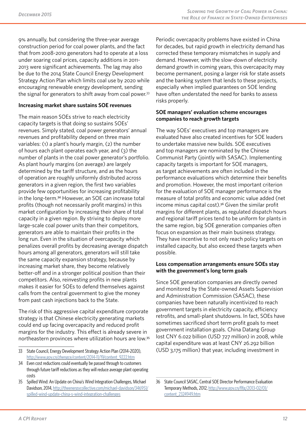9% annually, but considering the three-year average construction period for coal power plants, and the fact that from 2008-2010 generators had to operate at a loss under soaring coal prices, capacity additions in 2011- 2013 were significant achievements. The lag may also be due to the 2014 State Council Energy Development Strategy Action Plan which limits coal use by 2020 while encouraging renewable energy development, sending the signal for generators to shift away from coal power. $33$ 

#### **Increasing market share sustains SOE revenues**

The main reason SOEs strive to reach electricity capacity targets is that doing so sustains SOEs' revenues. Simply stated, coal power generators' annual revenues and profitability depend on three main variables: (1) a plant's hourly margin, (2) the number of hours each plant operates each year, and (3) the number of plants in the coal power generator's portfolio. As plant hourly margins (on average) are largely determined by the tariff structure, and as the hours of operation are roughly uniformly distributed across generators in a given region, the first two variables provide few opportunities for increasing profitability in the long-term.34 However, an SOE can increase total profits (though not necessarily profit margins) in this market configuration by increasing their share of total capacity in a given region. By striving to deploy more large-scale coal power units than their competitors, generators are able to maintain their profits in the long run. Even in the situation of overcapacity which penalizes overall profits by decreasing average dispatch hours among all generators, generators will still take the same capacity expansion strategy, because by increasing market share, they become relatively better-off and in a stronger political position than their competitors. Also, reinvesting profits in new plants makes it easier for SOEs to defend themselves against calls from the central government to give the money from past cash injections back to the State.

The risk of this aggressive capital expenditure corporate strategy is that Chinese electricity generating markets could end up facing overcapacity and reduced profit margins for the industry. This effect is already severe in northeastern provinces where utilization hours are low.<sup>35</sup> Periodic overcapacity problems have existed in China for decades, but rapid growth in electricity demand has corrected these temporary mismatches in supply and demand. However, with the slow-down of electricity demand growth in coming years, this overcapacity may become permanent, posing a larger risk for state assets and the banking system that lends to these projects, especially when implied guarantees on SOE lending have often understated the need for banks to assess risks properly.

#### **SOE managers' evaluation scheme encourages companies to reach growth targets**

The way SOEs' executives and top managers are evaluated have also created incentives for SOE leaders to undertake massive new builds. SOE executives and top managers are nominated by the Chinese Communist Party (jointly with SASAC). Implementing capacity targets is important for SOE managers, as target achievements are often included in the performance evaluations which determine their benefits and promotion. However, the most important criterion for the evaluation of SOE manager performance is the measure of total profits and economic value added (net income minus capital cost).36 Given the similar profit margins for different plants, as regulated dispatch hours and regional tariff prices tend to be uniform for plants in the same region, big SOE generation companies often focus on expansion as their main business strategy. They have incentive to not only reach policy targets on installed capacity, but also exceed these targets when possible.

#### **Loss compensation arrangements ensure SOEs stay with the government's long term goals**

Since SOE generation companies are directly owned and monitored by the State-owned Assets Supervision and Administration Commission (SASAC), these companies have been naturally incentivized to reach government targets in electricity capacity, efficiency retrofits, and small-plant shutdowns. In fact, SOEs have sometimes sacrificed short term profit goals to meet government installation goals. China Datang Group lost CNY 6.022 billion (USD 727 million) in 2008, while capital expenditure was at least CNY 26.292 billion (USD 3,175 million) that year, including investment in

<sup>33</sup> State Council, Energy Development Strategy Action Plan (2014-2020), http://www.gov.cn/zhengce/content/2014-11/19/content\_9222.htm

<sup>34</sup> Even cost reductions could eventually be passed through to customers through future tariff reductions as they will reduce average plant operating costs

<sup>35</sup> [Spilled Wind: An Update on China's Wind Integration Challenges, M](http://www.gov.cn/zhengce/content/2014-11/19/content_9222.htm)ichael Davidson, 2014, http://theenergycollective.com/michael-davidson/346951/ spilled-wind-update-china-s-wind-integration-challenges

<sup>36</sup> State Council SASAC, Central SOE Director Performance Evaluation Temporary Methods, 2012, http://www.gov.cn/flfg/2013-02/01/ content\_2324949.htm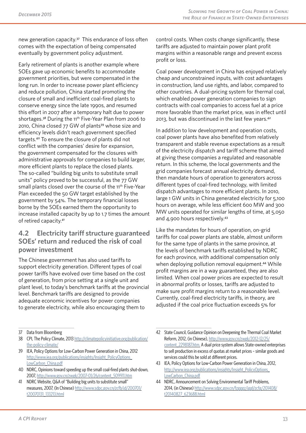new generation capacity.<sup>37</sup> This endurance of loss often comes with the expectation of being compensated eventually by government policy adjustment.

Early retirement of plants is another example where SOEs gave up economic benefits to accommodate government priorities, but were compensated in the long run. In order to increase power plant efficiency and reduce pollution, China started promoting the closure of small and inefficient coal-fired plants to conserve energy since the late 1990s, and resumed this effort in 2007 after a temporary halt due to power shortages.<sup>38</sup> During the 11<sup>th</sup> Five-Year Plan from 2006 to 2010, China closed 77 GW of plants<sup>39</sup> whose size and efficiency levels didn't reach government specified targets.40 To ensure the closure of plants did not conflict with the companies' desire for expansion, the government compensated for the closures with administrative approvals for companies to build larger, more efficient plants to replace the closed plants. The so-called "building big units to substitute small units" policy proved to be successful, as the 77 GW small plants closed over the course of the 11<sup>th</sup> Five-Year Plan exceeded the 50 GW target established by the government by 54%. The temporary financial losses borne by the SOEs earned them the opportunity to increase installed capacity by up to 1.7 times the amount of retired capacity.<sup>41</sup>

# **4.2 Electricity tariff structure guaranteed SOEs' return and reduced the risk of coal power investment**

The Chinese government has also used tariffs to support electricity generation. Different types of coal power tariffs have evolved over time based on the cost of generation, from price setting at a single unit and plant level, to today's benchmark tariffs at the provincial level. Benchmark tariffs are designed to provide adequate economic incentives for power companies to generate electricity, while also encouraging them to

control costs. When costs change significantly, these tariffs are adjusted to maintain power plant profit margins within a reasonable range and prevent excess profit or loss.

Coal power development in China has enjoyed relatively cheap and unconstrained inputs, with cost advantages in construction, land use rights, and labor, compared to other countries. A dual-pricing system for thermal coal, which enabled power generation companies to sign contracts with coal companies to access fuel at a price more favorable than the market price, was in effect until 2013, but was discontinued in the last few years.<sup>42</sup>

In addition to low development and operation costs, coal power plants have also benefited from relatively transparent and stable revenue expectations as a result of the electricity dispatch and tariff scheme that aimed at giving these companies a regulated and reasonable return. In this scheme, the local governments and the grid companies forecast annual electricity demand, then mandate hours of operation to generators across different types of coal-fired technology, with limited dispatch advantages to more efficient plants. In 2010, large 1 GW units in China generated electricity for 5,100 hours on average, while less efficient 600 MW and 300 MW units operated for similar lengths of time, at 5,050 and 4,900 hours respectively.<sup>43</sup>

Like the mandates for hours of operation, on-grid tariffs for coal power plants are stable, almost uniform for the same type of plants in the same province, at the levels of benchmark tariffs established by NDRC for each province, with additional compensation only when deploying pollution removal equipment.<sup>44</sup> While profit margins are in a way guaranteed, they are also limited. When coal power prices are expected to result in abnormal profits or losses, tariffs are adjusted to make sure profit margins return to a reasonable level. Currently, coal-fired electricity tariffs, in theory, are adjusted if the coal price fluctuation exceeds 5% for

<sup>37</sup> Data from Bloomberg

<sup>38</sup> CPI, The Policy Climate, 2013 http://climatepolicyinitiative.org/publication/ the-policy-climate/

<sup>39</sup> IEA, Policy Options for Low-Carbon Power Generation in China, 2012 http://www.iea.org/publications/insights/Insight\_PolicyOptions\_ LowCarbon\_China.pdf

<sup>40</sup> [NDRC, Opinions tow](http://climatepolicyinitiative.org/publication/the-policy-climate/)ard spee[ding up the small coal-fired plants shut-down,](http://climatepolicyinitiative.org/publication/the-policy-climate/) 2007, http://www.gov.cn/zwgk/2007-01/26/content\_509911.htm

<sup>41</sup> [NDRC Website, Q&A of "Building big units to substitute small"](http://www.iea.org/publications/insights/Insight_PolicyOptions_LowCarbon_China.pdf)  [measures, 2007, \(In Ch](http://www.iea.org/publications/insights/Insight_PolicyOptions_LowCarbon_China.pdf)inese) http://www.sdpc.gov.cn/zcfb/jd/200701/ t20070131\_133213.html

<sup>42</sup> State Council, Guidance Opinion on Deepening the Thermal Coal Market Reform, 2012, (in Chinese), http://www.gov.cn/zwgk/2012-12/25/ content\_2298187.htm. A dual price system allows State-owned enterprises to sell production in excess of quotas at market prices – similar goods and services could this be sold at different prices.

<sup>43</sup> IEA, Policy Options for Low[-Carbon Power Generation in China, 20](http://www.gov.cn/zwgk/2012-12/25/content_2298187.htm)12, [http://www.iea.org/pu](http://www.gov.cn/zwgk/2012-12/25/content_2298187.htm)blications/insights/Insight\_PolicyOptions\_ LowCarbon\_China.pdf

<sup>44</sup> NDRC, Announcement on Solving Environmental Tariff Problems, 2014, (in Chinese) http://www.sdpc.gov.cn/fzgggz/jggl/zcfg/201408/ [t20140827\\_623688.html](http://www.iea.org/publications/insights/Insight_PolicyOptions_LowCarbon_China.pdf)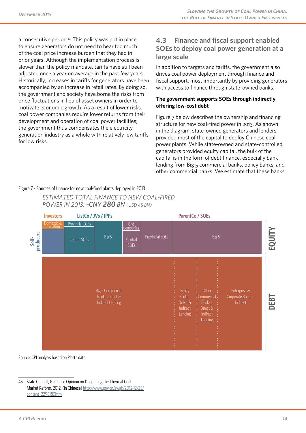a consecutive period.45 This policy was put in place to ensure generators do not need to bear too much of the coal price increase burden that they had in prior years. Although the implementation process is slower than the policy mandate, tariffs have still been adjusted once a year on average in the past few years. Historically, increases in tariffs for generators have been accompanied by an increase in retail rates. By doing so, the government and society have borne the risks from price fluctuations in lieu of asset owners in order to motivate economic growth. As a result of lower risks, coal power companies require lower returns from their development and operation of coal power facilities; the government thus compensates the electricity generation industry as a whole with relatively low tariffs for low risks.

### **4.3 Finance and fiscal support enabled SOEs to deploy coal power generation at a large scale**

In addition to targets and tariffs, the government also drives coal power deployment through finance and fiscal support, most importantly by providing generators with access to finance through state-owned banks.

#### **The government supports SOEs through indirectly offering low-cost debt**

Figure 7 below describes the ownership and financing structure for new coal-fired power in 2013. As shown in the diagram, state-owned generators and lenders provided most of the capital to deploy Chinese coal power plants. While state-owned and state-controlled generators provided equity capital, the bulk of the capital is in the form of debt finance, especially bank lending from Big 5 commercial banks, policy banks, and other commercial banks. We estimate that these banks

#### Figure 7 - Sources of finance for new coal-fired plants deployed in 2013.





Source: CPI analysis based on Platts data.

<sup>45</sup> State Council, Guidance Opinion on Deepening the Thermal Coal Market Reform, 2012, (in Chinese) http://www.gov.cn/zwgk/2012-12/25/ content\_2298187.htm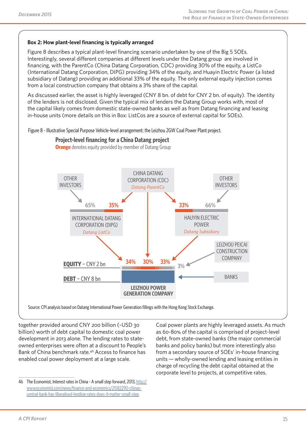#### **Box 2: How plant-level financing is typically arranged**

Figure 8 describes a typical plant-level financing scenario undertaken by one of the Big 5 SOEs. Interestingly, several different companies at different levels under the Datang group are involved in financing, with the ParentCo (China Datang Corporation, CDC) providing 30% of the equity, a ListCo (International Datang Corporation, DIPG) providing 34% of the equity, and Huayin Electric Power (a listed subsidiary of Datang) providing an additional 33% of the equity. The only external equity injection comes from a local construction company that obtains a 3% share of the capital.

As discussed earlier, the asset is highly leveraged (CNY 8 bn. of debt for CNY 2 bn. of equity). The identity of the lenders is not disclosed. Given the typical mix of lenders the Datang Group works with, most of the capital likely comes from domestic state-owned banks as well as from Datang financing and leasing in-house units (more details on this in Box: ListCos are a source of external capital for SOEs).

Figure 8 - Illustrative Special Purpose Vehicle-level arrangement: the Leizhou 2GW Coal Power Plant project.



Source: CPI analysis based on Datang International Power Generation fillings with the Hong Kong Stock Exchange.

together provided around CNY 200 billion (~USD 30 billion) worth of debt capital to domestic coal power development in 2013 alone. The lending rates to stateowned enterprises were often at a discount to People's Bank of China benchmark rate.46 Access to finance has enabled coal power deployment at a large scale.

Coal power plants are highly leveraged assets. As much as 60-80% of the capital is comprised of project-level debt, from state-owned banks (the major commercial banks and policy banks) but more interestingly also from a secondary source of SOEs' in-house financing units — wholly-owned lending and leasing entities in charge of recycling the debt capital obtained at the corporate level to projects, at competitive rates.

<sup>46</sup> The Economist, Interest rates in China - A small step forward, 2013, http:// www.economist.com/news/finance-and-economics/21582290-chinascentral-bank-has-liberalised-lending-rates-does-it-matter-small-step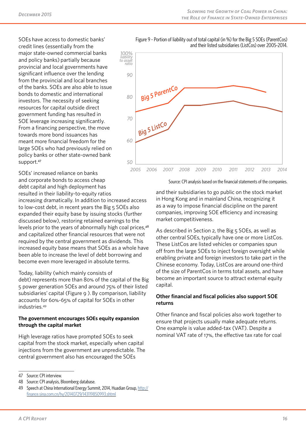SOEs have access to domestic banks' credit lines (essentially from the major state-owned commercial banks and policy banks) partially because provincial and local governments have significant influence over the lending from the provincial and local branches of the banks. SOEs are also able to issue bonds to domestic and international investors. The necessity of seeking resources for capital outside direct government funding has resulted in SOE leverage increasing significantly. From a financing perspective, the move towards more bond issuances has meant more financial freedom for the large SOEs who had previously relied on policy banks or other state-owned bank support.<sup>47</sup>

SOEs' increased reliance on banks and corporate bonds to access cheap debt capital and high deployment has resulted in their liability-to-equity ratios

increasing dramatically. In addition to increased access to low-cost debt, in recent years the Big 5 SOEs also expanded their equity base by issuing stocks (further discussed below), restoring retained earnings to the levels prior to the years of abnormally high coal prices,<sup>48</sup> and capitalized other financial resources that were not required by the central government as dividends. This increased equity base means that SOEs as a whole have been able to increase the level of debt borrowing and become even more leveraged in absolute terms.

Today, liability (which mainly consists of

debt) represents more than 80% of the capital of the Big 5 power generation SOEs and around 75% of their listed subsidiaries' capital (Figure 9 ). By comparison, liability accounts for 60%-65% of capital for SOEs in other industries.49

#### **The government encourages SOEs equity expansion through the capital market**

High leverage ratios have prompted SOEs to seek capital from the stock market, especially when capital injections from the government are unpredictable. The central government also has encouraged the SOEs

Figure 9 - Portion of liability out of total capital (in %) for the Big 5 SOEs (ParentCos) and their listed subsidiaries (ListCos) over 2005-2014.



Source: CPI analysis based on the financial statements of the companies.

and their subsidiaries to go public on the stock market in Hong Kong and in mainland China, recognizing it as a way to impose financial discipline on the parent companies, improving SOE efficiency and increasing market competitiveness.

As described in Section 2, the Big 5 SOEs, as well as other central SOEs, typically have one or more ListCos. These ListCos are listed vehicles or companies spun off from the large SOEs to inject foreign oversight while enabling private and foreign investors to take part in the Chinese economy. Today, ListCos are around one-third of the size of ParentCos in terms total assets, and have become an important source to attract external equity capital.

#### **Other financial and fiscal policies also support SOE returns**

Other finance and fiscal policies also work together to ensure that projects usually make adequate returns. One example is value added-tax (VAT). Despite a nominal VAT rate of 17%, the effective tax rate for coal

<sup>47</sup> Source: CPI interview.

<sup>48</sup> Source: CPI analysis, Bloomberg database.

<sup>49</sup> Speech at China International Energy Summit, 2014, Huadian Group, http:// finance.sina.com.cn/hy/20140729/143119850993.shtml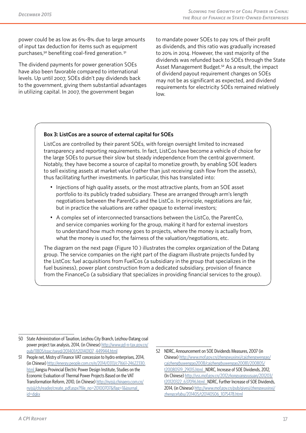power could be as low as 6%-8% due to large amounts of input tax deduction for items such as equipment purchases,<sup>50</sup> benefiting coal-fired generation.<sup>51</sup>

The dividend payments for power generation SOEs have also been favorable compared to international levels. Up until 2007, SOEs didn't pay dividends back to the government, giving them substantial advantages in utilizing capital. In 2007, the government began

to mandate power SOEs to pay 10% of their profit as dividends, and this ratio was gradually increased to 20% in 2014. However, the vast majority of the dividends was refunded back to SOEs through the State Asset Management Budget.<sup>52</sup> As a result, the impact of dividend payout requirement changes on SOEs may not be as significant as expected, and dividend requirements for electricity SOEs remained relatively low.

#### **Box 3: ListCos are a source of external capital for SOEs**

ListCos are controlled by their parent SOEs, with foreign oversight limited to increased transparency and reporting requirements. In fact, ListCos have become a vehicle of choice for the large SOEs to pursue their slow but steady independence from the central government. Notably, they have become a source of capital to monetize growth, by enabling SOE leaders to sell existing assets at market value (rather than just receiving cash flow from the assets), thus facilitating further investments. In particular, this has translated into:

- Injections of high quality assets, or the most attractive plants, from an SOE asset portfolio to its publicly traded subsidiary. These are arranged through arm's length negotiations between the ParentCo and the ListCo. In principle, negotiations are fair, but in practice the valuations are rather opaque to external investors;
- A complex set of interconnected transactions between the ListCo, the ParentCo, and service companies working for the group, making it hard for external investors to understand how much money goes to projects, where the money is actually from, what the money is used for, the fairness of the valuation/negotiations, etc.

The diagram on the next page (Figure 10 ) illustrates the complex organization of the Datang group. The service companies on the right part of the diagram illustrate projects funded by the ListCos: fuel acquisitions from FuelCos (a subsidiary in the group that specializes in the fuel business), power plant construction from a dedicated subsidiary, provision of finance from the FinanceCo (a subsidiary that specializes in providing financial services to the group).

<sup>50</sup> State Administration of Taxation, Leizhou City Branch, Leizhou-Datang coal power project tax analysis, 2014, (in Chinese) http://www.gd-n-tax.gov.cn/ pub/11805/ssxc/swyd/201401/t20140107\_449944.html

<sup>51</sup> People net, Mistry of Finance VAT concession to hydro enterprises, 2014, (in Chinese) http://energy.people.com.cn/n/2014/0313/c71661-24622330. html Jiangsu Provincial Electric Power Design Institute, Studies on the [Economic Evaluation of Thermal Power Projects Based o](http://www.gd-n-tax.gov.cn/pub/11805/ssxc/swyd/201401/t20140107_449944.html)n the VAT Transformation Reform, 2010, (in Chinese) http://nyjsjj.chinaero.com.cn/ nyjsjj/ch/rea[der/create\\_pdf.aspx?file\\_no=20100707&flag=1&journal\\_](http://energy.people.com.cn/n/2014/0313/c71661-24622330.html) [id=dq](http://energy.people.com.cn/n/2014/0313/c71661-24622330.html)kx

<sup>52</sup> NDRC, Announcement on SOE Dividends Measures, 2007 (in Chinese) http://www.mof.gov.cn/zhengwuxinxi/caizhengwengao/ caizhengbuwengao2008/caizhengbuwengao20081/200805/ t20080519\_29015.html . NDRC, Increase of SOE Dividends, 2012, (In Chinese) http://yss.mof.gov.cn/2012zhongyangyusuan/201203/ t201203[22\\_637096.html . NDRC, Further Increase of SOE Dividend](http://www.mof.gov.cn/zhengwuxinxi/caizhengwengao/caizhengbuwengao2008/caizhengbuwengao20081/200805/t20080519_29015.html)s, [2014, \(in Chinese\) http://www.mof.gov.cn/pub/qiyesi/zhengwu](http://www.mof.gov.cn/zhengwuxinxi/caizhengwengao/caizhengbuwengao2008/caizhengbuwengao20081/200805/t20080519_29015.html)xinxi/ [zhengcefabu/201405/t2](http://www.mof.gov.cn/zhengwuxinxi/caizhengwengao/caizhengbuwengao2008/caizhengbuwengao20081/200805/t20080519_29015.html)0140506\_1075478.html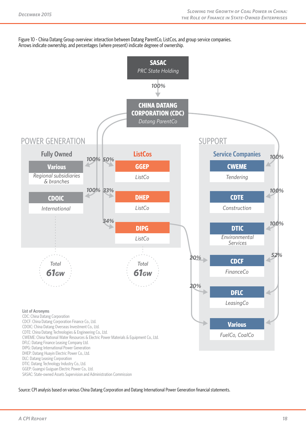Figure 10 - China Datang Group overview: interaction between Datang ParentCo, ListCos, and group service companies. Arrows indicate ownership, and percentages (where present) indicate degreee of ownership.



Source: CPI analysis based on various China Datang Corporation and Datang International Power Generation financial statements.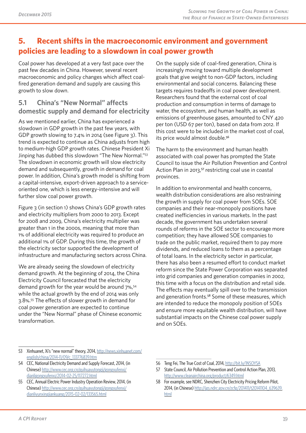# **5. Recent shifts in the macroeconomic environment and government policies are leading to a slowdown in coal power growth**

Coal power has developed at a very fast pace over the past few decades in China. However, several recent macroeconomic and policy changes which affect coalfired generation demand and supply are causing this growth to slow down.

# **5.1 China's "New Normal" affects domestic supply and demand for electricity**

As we mentioned earlier, China has experienced a slowdown in GDP growth in the past few years, with GDP growth slowing to 7.4% in 2014 (see Figure 3). This trend is expected to continue as China adjusts from high to medium-high GDP growth rates. Chinese President Xi Jinping has dubbed this slowdown "The New Normal."53 The slowdown in economic growth will slow electricity demand and subsequently, growth in demand for coal power. In addition, China's growth model is shifting from a capital-intensive, export-driven approach to a serviceoriented one, which is less energy-intensive and will further slow coal power growth.

Figure 3 (in section 1) shows China's GDP growth rates and electricity multipliers from 2000 to 2013. Except for 2008 and 2009, China's electricity multiplier was greater than 1 in the 2000s, meaning that more than 1% of additional electricity was required to produce an additional 1% of GDP. During this time, the growth of the electricity sector supported the development of infrastructure and manufacturing sectors across China.

We are already seeing the slowdown of electricity demand growth. At the beginning of 2014, the China Electricity Council forecasted that the electricity demand growth for the year would be around 7%,<sup>54</sup> while the actual growth by the end of 2014 was only 3.8%.55 The effects of slower growth in demand for coal power generation are expected to continue under the "New Normal" phase of Chinese economic transformation.

On the supply side of coal-fired generation, China is increasingly moving toward multiple development goals that give weight to non-GDP factors, including environmental and social concerns. Balancing these targets requires tradeoffs in coal power development. Researchers found that the external cost of coal production and consumption in terms of damage to water, the ecosystem, and human health, as well as emissions of greenhouse gases, amounted to CNY 420 per ton (USD 67 per ton), based on data from 2012. If this cost were to be included in the market cost of coal, its price would almost double.<sup>56</sup>

The harm to the environment and human health associated with coal power has prompted the State Council to issue the Air Pollution Prevention and Control Action Plan in 2013,<sup>57</sup> restricting coal use in coastal provinces.

In addition to environmental and health concerns, wealth distribution considerations are also restraining the growth in supply for coal power from SOEs. SOE companies and their near-monopoly positions have created inefficiencies in various markets. In the past decade, the government has undertaken several rounds of reforms in the SOE sector to encourage more competition; they have allowed SOE companies to trade on the public market, required them to pay more dividends, and reduced loans to them as a percentage of total loans. In the electricity sector in particular, there has also been a resumed effort to conduct market reform since the State Power Corporation was separated into grid companies and generation companies in 2002, this time with a focus on the distribution and retail side. The effects may eventually spill over to the transmission and generation fronts.<sup>58</sup> Some of these measures, which are intended to reduce the monopoly position of SOEs and ensure more equitable wealth distribution, will have substantial impacts on the Chinese coal power supply and on SOEs.

- 53 Xinhuanet, Xi's "new normal" theory, 2014, http://news.xinhuanet.com/ english/china/2014-11/09/c\_133776839.htm
- 54 CEC, National Electricity Demand and Supply Forecast, 2014, (in Chinese) http://www.cec.org.cn/guihuayutongji/gongxufenxi/ dianligongxufenxi/2014-02-25/117272.html
- 55 [CEC, Annual Electric Power Industry Operation Review, 2014, \(in](http://news.xinhuanet.com/english/china/2014-11/09/c_133776839.htm)  Chinese) http://www.cec.org.cn/guihuayutongji/gongxufenxi/ dianliyun[xingjiankuang/2015-02-02/133565.html](http://www.cec.org.cn/guihuayutongji/gongxufenxi/dianligongxufenxi/2014-02-25/117272.html)
- 56 Teng Fei, The True Cost of Coal, 2014, http://bit.ly/1NSOYSA
- 57 State Council, Air Pollution Prevention and Control Action Plan, 2013, http://www.cleanairchina.org/product/6349.html

<sup>58</sup> For example, see NDRC, Shenzhen City Electricity Pricing Reform Pilot, 2014, (in Chinese) http://jgs.ndrc.gov.[cn/zcfg/201411/t20141](http://bit.ly/1NSOYSA)104\_639639. html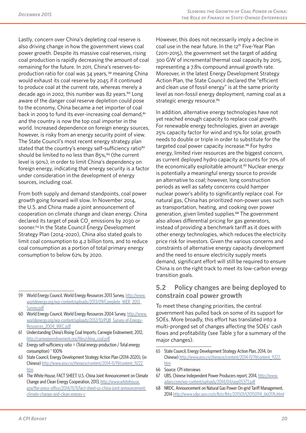Lastly, concern over China's depleting coal reserve is also driving change in how the government views coal power growth. Despite its massive coal reserves, rising coal production is rapidly decreasing the amount of coal remaining for the future. In 2011, China's reserves-toproduction ratio for coal was 34 years, 59 meaning China would exhaust its coal reserve by 2045 if it continued to produce coal at the current rate, whereas merely a decade ago in 2002, this number was 82 years. $60$  Long aware of the danger coal reserve depletion could pose to the economy, China became a net importer of coal back in 2009 to fund its ever-increasing coal demand,<sup>61</sup> and the country is now the top coal importer in the world. Increased dependence on foreign energy sources, however, is risky from an energy security point of view. The State Council's most recent energy strategy plan stated that the country's energy self-sufficiency ratio<sup>62</sup> should be limited to no less than  $85\%$ ,  $63$  (the current level is 90%), in order to limit China's dependency on foreign energy, indicating that energy security is a factor under consideration in the development of energy sources, including coal.

From both supply and demand standpoints, coal power growth going forward will slow. In November 2014, the U.S. and China made a joint announcement of cooperation on climate change and clean energy. China declared its target of peak CO $_{_2}$  emissions by 2030 or sooner.<sup>64</sup> In the State Council Energy Development Strategy Plan (2014-2020), China also stated goals to limit coal consumption to 4.2 billion tons, and to reduce coal consumption as a portion of total primary energy consumption to below 62% by 2020.

- 60 World Energy Council, World Energy Resources 2004 Survey, http://www. worldenergy.org/wp-content/uploads/2012/10/PUB\_Survey-[of-Energy-](http://www.worldenergy.org/wp-content/uploads/2013/09/Complete_WER_2013_Survey.pdf)[Resources\\_2004\\_WEC.pdf](http://www.worldenergy.org/wp-content/uploads/2013/09/Complete_WER_2013_Survey.pdf)
- 61 [Understand](http://www.worldenergy.org/wp-content/uploads/2013/09/Complete_WER_2013_Survey.pdf)ing China's Rising Coal Imports, Carnegie Endowment, 2012, http://carnegieendowment.org/files/china\_coal.pdf
- 62 [Energy self-sufficiency ratio = \(Total energy production / Total energy](http://www.worldenergy.org/wp-content/uploads/2012/10/PUB_Survey-of-Energy-Resources_2004_WEC.pdf)  [consumption\) \\* 100%](http://www.worldenergy.org/wp-content/uploads/2012/10/PUB_Survey-of-Energy-Resources_2004_WEC.pdf)
- 63 State Council, Energy Development Strategy Action Plan (2014-2020), (in [Chinese\) http://www.gov.cn/zhengce/content/2014](http://carnegieendowment.org/files/china_coal.pdf)-11/19/content\_9222. htm
- 64 The White House, FACT SHEET: U.S.-China Joint Announcement on Climate Change and Clean Energy Cooperation, 2013, http://www.whitehouse. gov/the-[press-office/2014/11/11/fact-sheet-us-china-joint-announcemen](http://www.gov.cn/zhengce/content/2014-11/19/content_9222.htm)t[clim](http://www.gov.cn/zhengce/content/2014-11/19/content_9222.htm)ate-change-and-clean-energy-c

However, this does not necessarily imply a decline in coal use in the near future. In the 12<sup>th</sup> Five-Year Plan (2011-2015), the government set the target of adding 300 GW of incremental thermal coal capacity by 2015, representing a 7.8% compound annual growth rate. Moreover, in the latest Energy Development Strategy Action Plan, the State Council declared the "efficient and clean use of fossil energy" is at the same priority level as non-fossil energy deployment, naming coal as a strategic energy resource.<sup>65</sup>

In addition, alternative energy technologies have not yet reached enough capacity to replace coal growth. For renewable energy technologies, given an average 25% capacity factor for wind and 15% for solar, growth needs to double or triple in order to substitute for the targeted coal power capacity increase.<sup>66</sup> For hydro energy, limited river resources are the biggest concern, as current deployed hydro capacity accounts for 70% of the economically exploitable amount.<sup>67</sup> Nuclear energy is potentially a meaningful energy source to provide an alternative to coal; however, long construction periods as well as safety concerns could hamper nuclear power's ability to significantly replace coal. For natural gas, China has prioritized non-power uses such as transportation, heating, and cooking over power generation, given limited supplies.<sup>68</sup> The government also allows differential pricing for gas generators, instead of providing a benchmark tariff as it does with other energy technologies, which reduces the electricity price risk for investors. Given the various concerns and constraints of alternative energy capacity development and the need to ensure electricity supply meets demand, significant effort will still be required to ensure China is on the right track to meet its low-carbon energy transition goals.

### **5.2 Policy changes are being deployed to constrain coal power growth**

To meet these changing priorities, the central government has pulled back on some of its support for SOEs. More broadly, this effort has translated into a multi-pronged set of changes affecting the SOEs' cash flows and profitability (see Table 3 for a summary of the major changes).

- 67 UBS, Chinese Independent Power Producers report, 2014, http://www. adaro.co[m/wp-content/uploads/2014/04/uep05373.pdf](http://www.gov.cn/zhengce/content/2014-11/19/content_9222.htm)
- 68 [NRD](http://www.gov.cn/zhengce/content/2014-11/19/content_9222.htm)C, Announcement on Natural Gas Power On-grid Tariff Management, 2014 http://www.sdpc.gov.cn/zcfb/zcfbtz/201501/t20150114\_660176.html

<sup>59</sup> World Energy Council, World Energy Resources 2013 Survey, http://www. worldenergy.org/wp-content/uploads/2013/09/Complete\_WER\_2013\_ Survey.pdf

<sup>65</sup> State Council, Energy Development Strategy Action Plan, 2014, (in Chinese) http://www.gov.cn/zhengce/content/2014-11/19/content\_9222. htm

<sup>66</sup> Source: CPI interviews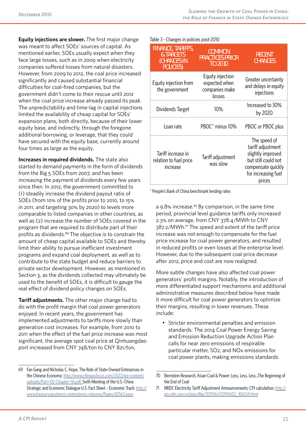**Equity injections are slower.** The first major change was meant to affect SOEs' sources of capital. As mentioned earlier, SOEs usually expect when they face large losses, such as in 2009 when electricity companies suffered losses from natural disasters. However, from 2009 to 2012, the coal price increased significantly and caused substantial financial difficulties for coal-fired companies, but the government didn't come to their rescue until 2012 when the coal price increase already passed its peak. The unpredictability and time-lag in capital injections limited the availability of cheap capital for SOEs' expansion plans, both directly, because of their lower equity base, and indirectly, through the foregone additional borrowing, or leverage, that they could have secured with the equity base, currently around four times as large as the equity.

**Increases in required dividends.** The state also started to demand payments in the form of dividends from the Big 5 SOEs from 2007, and has been increasing the payment of dividends every few years since then. In 2012, the government committed to (1) steadily increase the dividend payout ratio of SOEs (from 10% of the profits prior to 2010, to 15% in 2011, and targeting 30% by 2020) to levels more comparable to listed companies in other countries, as well as (2) increase the number of SOEs covered in the program that are required to distribute part of their profits as dividends.<sup>69</sup> The objective is to constrain the amount of cheap capital available to SOEs and thereby limit their ability to pursue inefficient investment programs and expand coal deployment, as well as to contribute to the state budget and reduce barriers to private sector development. However, as mentioned in Section 3, as the dividends collected may ultimately be used to the benefit of SOEs, it is difficult to gauge the real effect of dividend policy changes on SOEs.

**Tariff adjustments.** The other major change had to do with the profit margin that coal power generators enjoyed. In recent years, the government has implemented adjustments to tariffs more slowly than generation cost increases. For example, from 2010 to 2011 when the effect of the fuel price increase was most significant, the average spot coal price at Qinhuangdao port increased from CNY 748/ton to CNY 821/ton,

Table 3 - Changes in policies post-2010

| <b>FINANCE, TARIFFS,</b><br>& TARGETS<br><b>(CHANGES IN</b><br><b>POLICIES)</b> | <b>COMMON</b><br><b>PRACTICES PRIOR</b><br><b>TO 2010</b>     | <b>RECENT</b><br><b>CHANGES</b>                                                                                                      |
|---------------------------------------------------------------------------------|---------------------------------------------------------------|--------------------------------------------------------------------------------------------------------------------------------------|
| Equity injection from<br>the government                                         | Equity injection<br>expected when<br>companies make<br>losses | Greater uncertainty<br>and delays in equity<br>injections                                                                            |
| Dividends Target                                                                | 10%                                                           | Increased to 30%<br>by 2020                                                                                                          |
| Loan rate                                                                       | PBOC <sup>*</sup> minus 10%                                   | PBOC or PBOC plus                                                                                                                    |
| Tariff increase in<br>relation to fuel price<br>increase                        | Tariff adjustment<br>was slow                                 | The speed of<br>tariff adjustment<br>slightly improved<br>but still could not<br>compensate quickly<br>for increasing fuel<br>prices |

\* People's Bank of China benchmark lending rates

a 9.8% increase.<sup>70</sup> By comparison, in the same time period, provincial level guidance tariffs only increased 2.3% on average, from CNY 378.4/MWh to CNY 387.2/MWh.<sup>71</sup> The speed and extent of the tariff price increase was not enough to compensate for the fuel price increase for coal power generators, and resulted in reduced profits or even losses at the enterprise level. However, due to the subsequent coal price decrease after 2012, price and cost are now realigned.

More subtle changes have also affected coal power generators' profit margins. Notably, the introduction of more differentiated support mechanisms and additional administrative measures described below have made it more difficult for coal power generators to optimize their margins, resulting in lower revenues. These include:

• Stricter environmental penalties and emission standards: The 2014 Coal Power Energy Saving and Emission Reduction Upgrade Action Plan calls for near zero emissions of respirable particular matter, SO2, and NOx emissions for coal power plants, making emissions standards

<sup>69</sup> Fan Gang and Nicholas C. Hope, The Role of State-Owned Enterprises in the Chinese Economy: http://www.chinausfocus.com/2022/wp-content/ uploads/Part+02-Chapter+16.pdf. Sixth Meeting of the U.S.-China Strategic and Economic Dialogue U.S. Fact Sheet - Economic Track: http:// www.treasury.gov/press-center/press-releases/Pages/jl2563.aspx

<sup>70</sup> Bernstein Research, Asian Coal & Power: Less, Less, Less…The Beginning of the End of Coal

<sup>71</sup> NRDC Electricity Tariff Adjustment Announcements, CPI calculation, http:// jgs.ndrc.gov.cn/jggs/dljg/201106/t20110602\_416534.html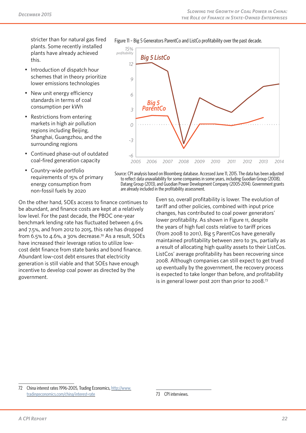stricter than for natural gas fired plants. Some recently installed plants have already achieved this.

- Introduction of dispatch hour schemes that in theory prioritize lower emissions technologies
- New unit energy efficiency standards in terms of coal consumption per kWh
- Restrictions from entering markets in high air pollution regions including Beijing, Shanghai, Guangzhou, and the surrounding regions
- Continued phase-out of outdated coal-fired generation capacity

*-3*

Country-wide portfolio requirements of 15% of primary energy consumption from non-fossil fuels by 2020

On the other hand, SOEs access to finance continues to be abundant, and finance costs are kept at a relatively low level. For the past decade, the PBOC one-year benchmark lending rate has fluctuated between 4.6% and 7.5%, and from 2012 to 2015, this rate has dropped from 6.5% to 4.6%, a 30% decrease.72 As a result, SOEs have increased their leverage ratios to utilize lowcost debt finance from state banks and bond finance. Abundant low-cost debt ensures that electricity generation is still viable and that SOEs have enough incentive to develop coal power as directed by the government.

*0 3 6 9 12 15% profitability Big 5 ParentCo Big 5 ListCo*

Figure 11 – Big 5 Generators ParentCo and ListCo profitability over the past decade.

*-6 2005 2006 2007 2008 2009 2010 2011 2012 2013 2014*

Source: CPI analysis based on Bloomberg database. Accessed June 11, 2015. The data has been adjusted to reflect data unavailability for some companies in some years, including Guodian Group (2008), Datang Group (2013), and Guodian Power Development Company (2005-2014). Government grants are already included in the profitability assessment.

> Even so, overall profitability is lower. The evolution of tariff and other policies, combined with input price changes, has contributed to coal power generators' lower profitability. As shown in Figure 11, despite the years of high fuel costs relative to tariff prices (from 2008 to 2011), Big 5 ParentCos have generally maintained profitability between zero to 3%, partially as a result of allocating high quality assets to their ListCos. ListCos' average profitability has been recovering since 2008. Although companies can still expect to get trued up eventually by the government, the recovery process is expected to take longer than before, and profitability is in general lower post 2011 than prior to 2008.73

72 China interest rates 1996-2005, Trading Economics, http://www. tradingeconomics.com/china/interest-rate

<sup>73</sup> CPI interviews.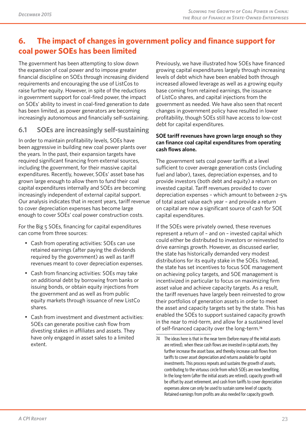# **6. The impact of changes in government policy and finance support for coal power SOEs has been limited**

The government has been attempting to slow down the expansion of coal power and to impose greater financial discipline on SOEs through increasing dividend requirements and encouraging the use of ListCos to raise further equity. However, in spite of the reductions in government support for coal-fired power, the impact on SOEs' ability to invest in coal-fired generation to date has been limited, as power generators are becoming increasingly autonomous and financially self-sustaining.

## **6.1 SOEs are increasingly self-sustaining**

In order to maintain profitability levels, SOEs have been aggressive in building new coal power plants over the years. In the past, their expansion targets have required significant financing from external sources, including the government, for their massive capital expenditures. Recently, however, SOEs' asset base has grown large enough to allow them to fund their coal capital expenditures internally and SOEs are becoming increasingly independent of external capital support. Our analysis indicates that in recent years, tariff revenue to cover depreciation expenses has become large enough to cover SOEs' coal power construction costs.

For the Big 5 SOEs, financing for capital expenditures can come from three sources:

- Cash from operating activities: SOEs can use retained earnings (after paying the dividends required by the government) as well as tariff revenues meant to cover depreciation expenses.
- Cash from financing activities: SOEs may take on additional debt by borrowing from banks or issuing bonds, or obtain equity injections from the government and as well as from public equity markets through issuance of new ListCo shares.
- Cash from investment and divestment activities: SOEs can generate positive cash flow from divesting stakes in affiliates and assets. They have only engaged in asset sales to a limited extent.

Previously, we have illustrated how SOEs have financed growing capital expenditures largely through increasing levels of debt which have been enabled both through increased allowed leverage as well as a growing equity base coming from retained earnings, the issuance of ListCo shares, and capital injections from the government as needed. We have also seen that recent changes in government policy have resulted in lower profitability, though SOEs still have access to low-cost debt for capital expenditures.

#### **SOE tariff revenues have grown large enough so they can finance coal capital expenditures from operating cash flows alone.**

The government sets coal power tariffs at a level sufficient to cover average generation costs (including fuel and labor), taxes, depreciation expenses, and to provide investors (both debt and equity) a return on invested capital. Tariff revenues provided to cover depreciation expenses – which amount to between 2-5% of total asset value each year – and provide a return on capital are now a significant source of cash for SOE capital expenditures.

If the SOEs were privately owned, these revenues represent a return of – and on – invested capital which could either be distributed to investors or reinvested to drive earnings growth. However, as discussed earlier, the state has historically demanded very modest distributions for its equity stake in the SOEs. Instead, the state has set incentives to focus SOE management on achieving policy targets, and SOE management is incentivized in particular to focus on maximizing firm asset value and achieve capacity targets. As a result, the tariff revenues have largely been reinvested to grow their portfolios of generation assets in order to meet the asset and capacity targets set by the state. This has enabled the SOEs to support sustained capacity growth in the near to mid-term, and allow for a sustained level of self-financed capacity over the long-term.<sup>74</sup>

<sup>74</sup> The ideas here is that in the near term (before many of the initial assets are retired), when these cash flows are invested in capital assets, they further increase the asset base, and thereby increase cash flows from tariffs to cover asset depreciation and returns available for capital investments. This process repeats and sustains the growth of assets, contributing to the virtuous circle from which SOEs are now benefiting. In the long-term (after the initial assets are retired), capacity growth will be offset by asset retirement, and cash from tariffs to cover depreciation expenses alone can only be used to sustain some level of capacity. Retained earnings from profits are also needed for capacity growth.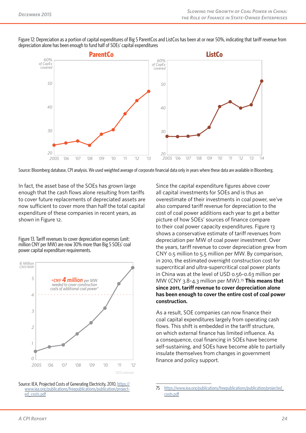Figure 12: Depreciation as a portion of capital expenditures of Big 5 ParentCos and ListCos has been at or near 50%, indicating that tariff revenue from depreciation alone has been enough to fund half of SOEs' capital expenditures



Source: Bloomberg database, CPI analysis. We used weighted average of corporate financial data only in years where these data are available in Bloomberg.

In fact, the asset base of the SOEs has grown large enough that the cash flows alone resulting from tariffs to cover future replacements of depreciated assets are now sufficient to cover more than half the total capital expenditure of these companies in recent years, as shown in Figure 12.

Figure 13. Tariff revenues to cover depreciation expenses (unit: million CNY per MW) are now 30% more than Big 5 SOEs' coal power capital expenditure requirements.



Source: IEA, Projected Costs of Generating Electricity, 2010, https:// www.iea.org/publications/freepublications/publication/project- ed\_costs.pdf Since the capital expenditure figures above cover all capital investments for SOEs and is thus an overestimate of their investments in coal power, we've also compared tariff revenue for depreciation to the cost of coal power additions each year to get a better picture of how SOEs' sources of finance compare to their coal power capacity expenditures. Figure 13 shows a conservative estimate of tariff revenues from depreciation per MW of coal power investment. Over the years, tariff revenue to cover depreciation grew from CNY 0.5 million to 5.5 million per MW. By comparison, in 2010, the estimated overnight construction cost for supercritical and ultra-supercritical coal power plants in China was at the level of USD 0.56~0.63 million per MW (CNY 3.8~4.3 million per MW).75 **This means that since 2011, tariff revenue to cover depreciation alone has been enough to cover the entire cost of coal power construction.** 

As a result, SOE companies can now finance their coal capital expenditures largely from operating cash flows. This shift is embedded in the tariff structure, on which external finance has limited influence. As a consequence, coal financing in SOEs have become self-sustaining, and SOEs have become able to partially insulate themselves from changes in government finance and policy support.

<sup>75</sup> https://www.iea.org/publications/freepublications/publication/projected\_ costs.pdf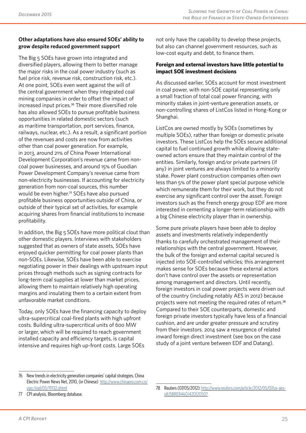#### **Other adaptations have also ensured SOEs' ability to grow despite reduced government support**

The Big 5 SOEs have grown into integrated and diversified players, allowing them to better manage the major risks in the coal power industry (such as fuel price risk, revenue risk, construction risk, etc.). At one point, SOEs even went against the will of the central government when they integrated coal mining companies in order to offset the impact of increased input prices.76 Their more diversified role has also allowed SOEs to pursue profitable business opportunities in related domestic sectors (such as maritime transportation, port services, finance, railways, nuclear, etc.). As a result, a significant portion of the revenues and costs are now from activities other than coal power generation. For example, in 2013, around 21% of China Power International Development Corporation's revenue came from noncoal power businesses, and around 15% of Guodian Power Development Company's revenue came from non-electricity businesses. If accounting for electricity generation from non-coal sources, this number would be even higher.<sup>77</sup> SOEs have also pursued profitable business opportunities outside of China, or outside of their typical set of activities, for example acquiring shares from financial institutions to increase profitability.

In addition, the Big 5 SOEs have more political clout than other domestic players. Interviews with stakeholders suggested that as owners of state assets, SOEs have enjoyed quicker permitting for coal power plants than non-SOEs. Likewise, SOEs have been able to exercise negotiating power in their dealings with upstream input prices through methods such as signing contracts for long-term coal supplies at lower than market prices, allowing them to maintain relatively high operating margins and insulating them to a certain extent from unfavorable market conditions.

Today, only SOEs have the financing capacity to deploy ultra-supercritical coal-fired plants with high upfront costs. Building ultra-supercritical units of 600 MW or larger, which will be required to reach government installed capacity and efficiency targets, is capital intensive and requires high up-front costs. Large SOEs

not only have the capability to develop these projects, but also can channel government resources, such as low-cost equity and debt, to finance them.

#### **Foreign and external investors have little potential to impact SOE investment decisions**

As discussed earlier, SOEs account for most investment in coal power, with non-SOE capital representing only a small fraction of total coal power financing, with minority stakes in joint-venture generation assets, or non-controlling shares of ListCos listed in Hong-Kong or Shanghai.

ListCos are owned mostly by SOEs (sometimes by multiple SOEs), rather than foreign or domestic private investors. These ListCos help the SOEs secure additional capital to fuel continued growth while allowing stateowned actors ensure that they maintain control of the entities. Similarly, foreign and/or private partners (if any) in joint ventures are always limited to a minority stake. Power plant construction companies often own less than 5% of the power plant special purpose vehicle which remunerate them for their work, but they do not exercise any significant control over the asset. Foreign investors such as the French energy group EDF are more interested in cementing a longer-term relationship with a big Chinese electricity player than in ownership.

Some pure private players have been able to deploy assets and investments relatively independently thanks to carefully orchestrated management of their relationships with the central government. However, the bulk of the foreign and external capital secured is injected into SOE-controlled vehicles; this arrangement makes sense for SOEs because these external actors don't have control over the assets or representation among management and directors. Until recently, foreign investors in coal power projects were driven out of the country (including notably AES in 2012) because projects were not meeting the required rates of return.<sup>78</sup> Compared to their SOE counterparts, domestic and foreign private investors typically have less of a financial cushion, and are under greater pressure and scrutiny from their investors. 2014 saw a resurgence of related inward foreign direct investment (see box on the case study of a joint venture between EDF and Datang).

<sup>76</sup> New trends in electricity generation companies' capital strategies, China Electric Power News Net, 2010, (in Chinese) http://www.chinaero.com.cn/ yjgc/jygl/05/19132.shtml

<sup>77</sup> CPI analysis, Bloomberg database.

<sup>78</sup> Reuters (07/05/2012): http://www.reuters.com/article/2012/05/07/us-aesidUSBRE8460J420120507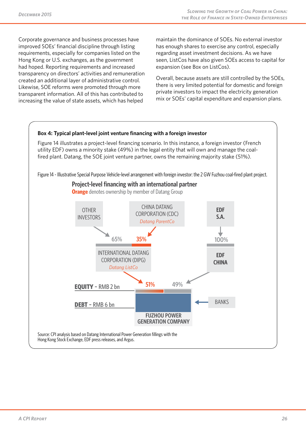Corporate governance and business processes have improved SOEs' financial discipline through listing requirements, especially for companies listed on the Hong Kong or U.S. exchanges, as the government had hoped. Reporting requirements and increased transparency on directors' activities and remuneration created an additional layer of administrative control. Likewise, SOE reforms were promoted through more transparent information. All of this has contributed to increasing the value of state assets, which has helped

maintain the dominance of SOEs. No external investor has enough shares to exercise any control, especially regarding asset investment decisions. As we have seen, ListCos have also given SOEs access to capital for expansion (see Box on ListCos).

Overall, because assets are still controlled by the SOEs, there is very limited potential for domestic and foreign private investors to impact the electricity generation mix or SOEs' capital expenditure and expansion plans.